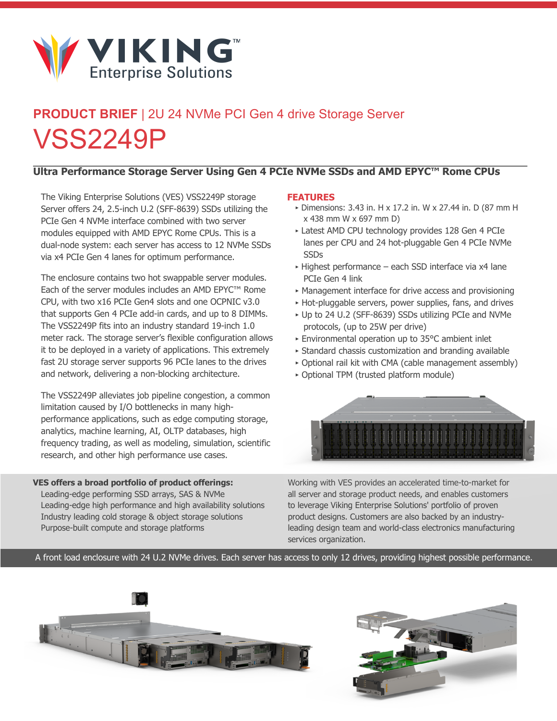

## **PRODUCT BRIEF** | 2U 24 NVMe PCI Gen 4 drive Storage Server VSS2249P

## **Ultra Performance Storage Server Using Gen 4 PCIe NVMe SSDs and AMD EPYC™ Rome CPUs**

The Viking Enterprise Solutions (VES) VSS2249P storage Server offers 24, 2.5-inch U.2 (SFF-8639) SSDs utilizing the PCIe Gen 4 NVMe interface combined with two server modules equipped with AMD EPYC Rome CPUs. This is a dual-node system: each server has access to 12 NVMe SSDs via x4 PCIe Gen 4 lanes for optimum performance.

The enclosure contains two hot swappable server modules. Each of the server modules includes an AMD EPYC™ Rome CPU, with two x16 PCIe Gen4 slots and one OCPNIC v3.0 that supports Gen 4 PCIe add-in cards, and up to 8 DIMMs. The VSS2249P fits into an industry standard 19-inch 1.0 meter rack. The storage server's flexible configuration allows it to be deployed in a variety of applications. This extremely fast 2U storage server supports 96 PCIe lanes to the drives and network, delivering a non-blocking architecture.

The VSS2249P alleviates job pipeline congestion, a common limitation caused by I/O bottlenecks in many highperformance applications, such as edge computing storage, analytics, machine learning, AI, OLTP databases, high frequency trading, as well as modeling, simulation, scientific research, and other high performance use cases.

**VES offers a broad portfolio of product offerings:** Leading-edge performing SSD arrays, SAS & NVMe Leading-edge high performance and high availability solutions Industry leading cold storage & object storage solutions Purpose-built compute and storage platforms

## **FEATURES**

- ‣ Dimensions: 3.43 in. H x 17.2 in. W x 27.44 in. D (87 mm H x 438 mm W x 697 mm D)
- ‣ Latest AMD CPU technology provides 128 Gen 4 PCIe lanes per CPU and 24 hot-pluggable Gen 4 PCIe NVMe SSDs
- ‣ Highest performance each SSD interface via x4 lane PCIe Gen 4 link
- ‣ Management interface for drive access and provisioning
- ‣ Hot-pluggable servers, power supplies, fans, and drives
- ‣ Up to 24 U.2 (SFF-8639) SSDs utilizing PCIe and NVMe protocols, (up to 25W per drive)
- ‣ Environmental operation up to 35°C ambient inlet
- ‣ Standard chassis customization and branding available
- ‣ Optional rail kit with CMA (cable management assembly)
- ‣ Optional TPM (trusted platform module)



Working with VES provides an accelerated time-to-market for all server and storage product needs, and enables customers to leverage Viking Enterprise Solutions' portfolio of proven product designs. Customers are also backed by an industryleading design team and world-class electronics manufacturing services organization.

A front load enclosure with 24 U.2 NVMe drives. Each server has access to only 12 drives, providing highest possible performance.